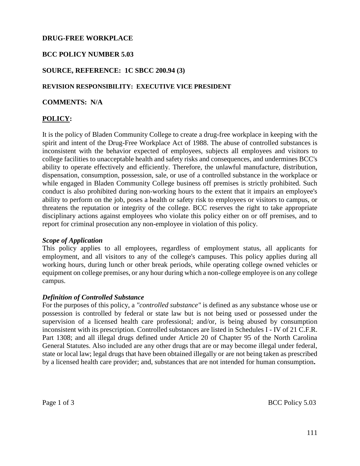# **DRUG-FREE WORKPLACE**

# **BCC POLICY NUMBER 5.03**

## **SOURCE, REFERENCE: 1C SBCC 200.94 (3)**

#### **REVISION RESPONSIBILITY: EXECUTIVE VICE PRESIDENT**

**COMMENTS: N/A**

# **POLICY:**

It is the policy of Bladen Community College to create a drug-free workplace in keeping with the spirit and intent of the Drug-Free Workplace Act of 1988. The abuse of controlled substances is inconsistent with the behavior expected of employees, subjects all employees and visitors to college facilities to unacceptable health and safety risks and consequences, and undermines BCC's ability to operate effectively and efficiently. Therefore, the unlawful manufacture, distribution, dispensation, consumption, possession, sale, or use of a controlled substance in the workplace or while engaged in Bladen Community College business off premises is strictly prohibited. Such conduct is also prohibited during non-working hours to the extent that it impairs an employee's ability to perform on the job, poses a health or safety risk to employees or visitors to campus, or threatens the reputation or integrity of the college. BCC reserves the right to take appropriate disciplinary actions against employees who violate this policy either on or off premises, and to report for criminal prosecution any non-employee in violation of this policy.

#### *Scope of Application*

This policy applies to all employees, regardless of employment status, all applicants for employment, and all visitors to any of the college's campuses. This policy applies during all working hours, during lunch or other break periods, while operating college owned vehicles or equipment on college premises, or any hour during which a non-college employee is on any college campus.

#### *Definition of Controlled Substance*

For the purposes of this policy, a *"controlled substance"* is defined as any substance whose use or possession is controlled by federal or state law but is not being used or possessed under the supervision of a licensed health care professional; and/or, is being abused by consumption inconsistent with its prescription. Controlled substances are listed in Schedules I - IV of 21 C.F.R. Part 1308; and all illegal drugs defined under Article 20 of Chapter 95 of the North Carolina General Statutes. Also included are any other drugs that are or may become illegal under federal, state or local law; legal drugs that have been obtained illegally or are not being taken as prescribed by a licensed health care provider; and, substances that are not intended for human consumption**.**

Page 1 of 3 BCC Policy 5.03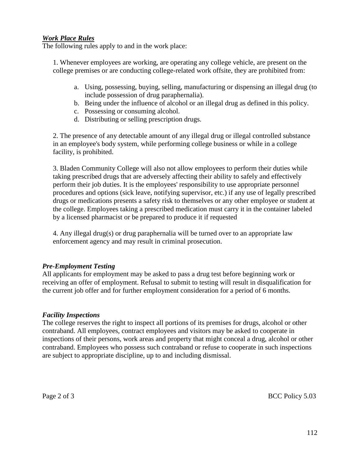# *Work Place Rules*

The following rules apply to and in the work place:

1. Whenever employees are working, are operating any college vehicle, are present on the college premises or are conducting college-related work offsite, they are prohibited from:

- a. Using, possessing, buying, selling, manufacturing or dispensing an illegal drug (to include possession of drug paraphernalia).
- b. Being under the influence of alcohol or an illegal drug as defined in this policy.
- c. Possessing or consuming alcohol.
- d. Distributing or selling prescription drugs.

2. The presence of any detectable amount of any illegal drug or illegal controlled substance in an employee's body system, while performing college business or while in a college facility, is prohibited.

3. Bladen Community College will also not allow employees to perform their duties while taking prescribed drugs that are adversely affecting their ability to safely and effectively perform their job duties. It is the employees' responsibility to use appropriate personnel procedures and options (sick leave, notifying supervisor, etc.) if any use of legally prescribed drugs or medications presents a safety risk to themselves or any other employee or student at the college. Employees taking a prescribed medication must carry it in the container labeled by a licensed pharmacist or be prepared to produce it if requested

4. Any illegal drug(s) or drug paraphernalia will be turned over to an appropriate law enforcement agency and may result in criminal prosecution.

## *Pre-Employment Testing*

All applicants for employment may be asked to pass a drug test before beginning work or receiving an offer of employment. Refusal to submit to testing will result in disqualification for the current job offer and for further employment consideration for a period of 6 months.

## *Facility Inspections*

The college reserves the right to inspect all portions of its premises for drugs, alcohol or other contraband. All employees, contract employees and visitors may be asked to cooperate in inspections of their persons, work areas and property that might conceal a drug, alcohol or other contraband. Employees who possess such contraband or refuse to cooperate in such inspections are subject to appropriate discipline, up to and including dismissal.

Page 2 of 3 BCC Policy 5.03